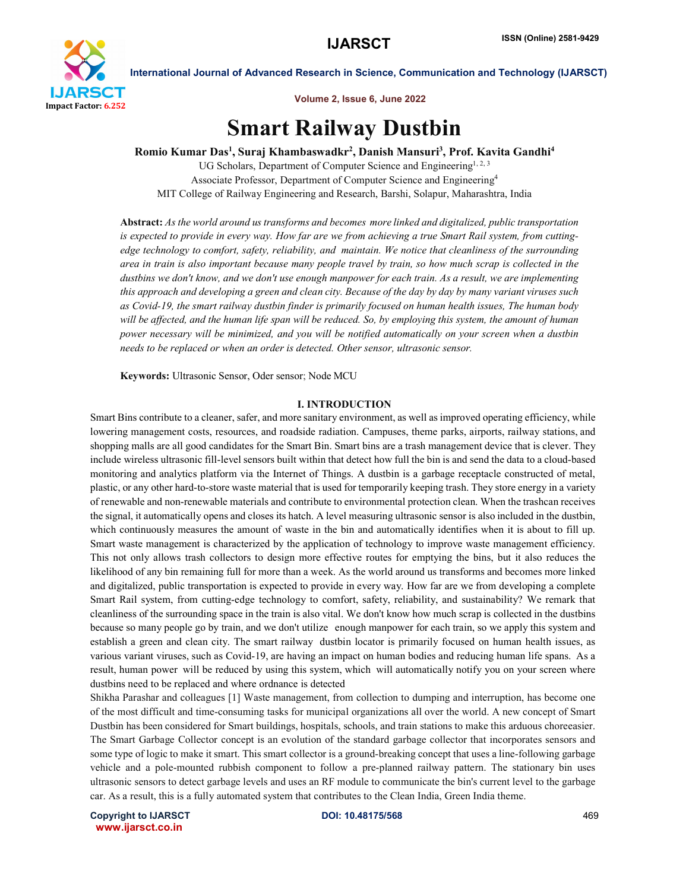

Volume 2, Issue 6, June 2022

# Smart Railway Dustbin

Romio Kumar Das<sup>1</sup>, Suraj Khambaswadkr<sup>2</sup>, Danish Mansuri<sup>3</sup>, Prof. Kavita Gandhi<sup>4</sup>

UG Scholars, Department of Computer Science and Engineering<sup>1, 2, 3</sup> Associate Professor, Department of Computer Science and Engineering4 MIT College of Railway Engineering and Research, Barshi, Solapur, Maharashtra, India

Abstract: *As the world around us transforms and becomes more linked and digitalized, public transportation is expected to provide in every way. How far are we from achieving a true Smart Rail system, from cuttingedge technology to comfort, safety, reliability, and maintain. We notice that cleanliness of the surrounding area in train is also important because many people travel by train, so how much scrap is collected in the dustbins we don't know, and we don't use enough manpower for each train. As a result, we are implementing this approach and developing a green and clean city. Because of the day by day by many variant viruses such as Covid-19, the smart railway dustbin finder is primarily focused on human health issues, The human body will be affected, and the human life span will be reduced. So, by employing this system, the amount of human power necessary will be minimized, and you will be notified automatically on your screen when a dustbin needs to be replaced or when an order is detected. Other sensor, ultrasonic sensor.*

Keywords: Ultrasonic Sensor, Oder sensor; Node MCU

#### I. INTRODUCTION

Smart Bins contribute to a cleaner, safer, and more sanitary environment, as well as improved operating efficiency, while lowering management costs, resources, and roadside radiation. Campuses, theme parks, airports, railway stations, and shopping malls are all good candidates for the Smart Bin. Smart bins are a trash management device that is clever. They include wireless ultrasonic fill-level sensors built within that detect how full the bin is and send the data to a cloud-based monitoring and analytics platform via the Internet of Things. A dustbin is a garbage receptacle constructed of metal, plastic, or any other hard-to-store waste material that is used for temporarily keeping trash. They store energy in a variety of renewable and non-renewable materials and contribute to environmental protection clean. When the trashcan receives the signal, it automatically opens and closes its hatch. A level measuring ultrasonic sensor is also included in the dustbin, which continuously measures the amount of waste in the bin and automatically identifies when it is about to fill up. Smart waste management is characterized by the application of technology to improve waste management efficiency. This not only allows trash collectors to design more effective routes for emptying the bins, but it also reduces the likelihood of any bin remaining full for more than a week. As the world around us transforms and becomes more linked and digitalized, public transportation is expected to provide in every way. How far are we from developing a complete Smart Rail system, from cutting-edge technology to comfort, safety, reliability, and sustainability? We remark that cleanliness of the surrounding space in the train is also vital. We don't know how much scrap is collected in the dustbins because so many people go by train, and we don't utilize enough manpower for each train, so we apply this system and establish a green and clean city. The smart railway dustbin locator is primarily focused on human health issues, as various variant viruses, such as Covid-19, are having an impact on human bodies and reducing human life spans. As a result, human power will be reduced by using this system, which will automatically notify you on your screen where dustbins need to be replaced and where ordnance is detected

Shikha Parashar and colleagues [1] Waste management, from collection to dumping and interruption, has become one of the most difficult and time-consuming tasks for municipal organizations all over the world. A new concept of Smart Dustbin has been considered for Smart buildings, hospitals, schools, and train stations to make this arduous choreeasier. The Smart Garbage Collector concept is an evolution of the standard garbage collector that incorporates sensors and some type of logic to make it smart. This smart collector is a ground-breaking concept that uses a line-following garbage vehicle and a pole-mounted rubbish component to follow a pre-planned railway pattern. The stationary bin uses ultrasonic sensors to detect garbage levels and uses an RF module to communicate the bin's current level to the garbage car. As a result, this is a fully automated system that contributes to the Clean India, Green India theme.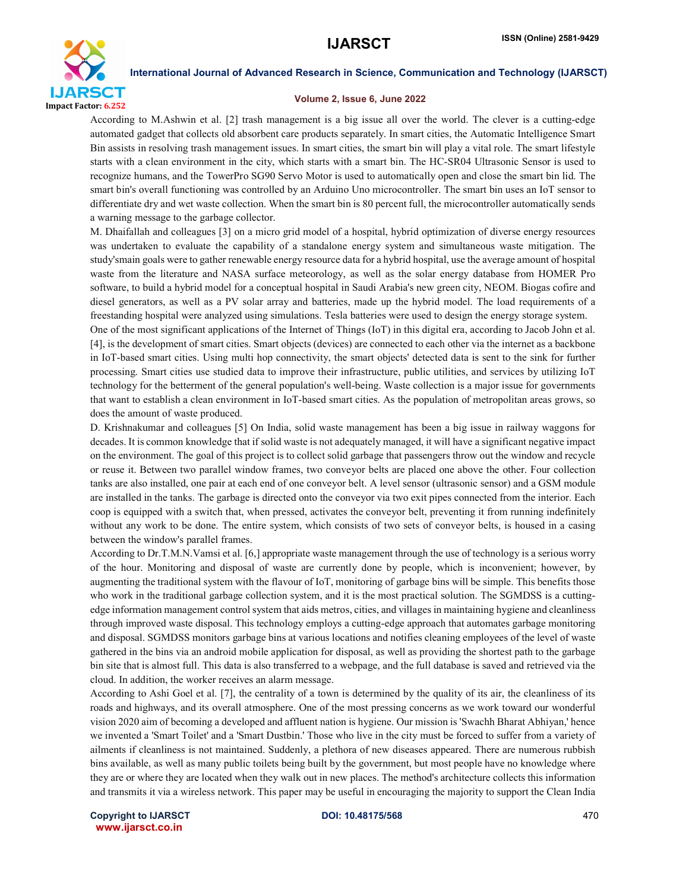

#### Volume 2, Issue 6, June 2022

According to M.Ashwin et al. [2] trash management is a big issue all over the world. The clever is a cutting-edge automated gadget that collects old absorbent care products separately. In smart cities, the Automatic Intelligence Smart Bin assists in resolving trash management issues. In smart cities, the smart bin will play a vital role. The smart lifestyle starts with a clean environment in the city, which starts with a smart bin. The HC-SR04 Ultrasonic Sensor is used to recognize humans, and the TowerPro SG90 Servo Motor is used to automatically open and close the smart bin lid. The smart bin's overall functioning was controlled by an Arduino Uno microcontroller. The smart bin uses an IoT sensor to differentiate dry and wet waste collection. When the smart bin is 80 percent full, the microcontroller automatically sends a warning message to the garbage collector.

M. Dhaifallah and colleagues [3] on a micro grid model of a hospital, hybrid optimization of diverse energy resources was undertaken to evaluate the capability of a standalone energy system and simultaneous waste mitigation. The study'smain goals were to gather renewable energy resource data for a hybrid hospital, use the average amount of hospital waste from the literature and NASA surface meteorology, as well as the solar energy database from HOMER Pro software, to build a hybrid model for a conceptual hospital in Saudi Arabia's new green city, NEOM. Biogas cofire and diesel generators, as well as a PV solar array and batteries, made up the hybrid model. The load requirements of a freestanding hospital were analyzed using simulations. Tesla batteries were used to design the energy storage system.

One of the most significant applications of the Internet of Things (IoT) in this digital era, according to Jacob John et al. [4], is the development of smart cities. Smart objects (devices) are connected to each other via the internet as a backbone in IoT-based smart cities. Using multi hop connectivity, the smart objects' detected data is sent to the sink for further processing. Smart cities use studied data to improve their infrastructure, public utilities, and services by utilizing IoT technology for the betterment of the general population's well-being. Waste collection is a major issue for governments that want to establish a clean environment in IoT-based smart cities. As the population of metropolitan areas grows, so does the amount of waste produced.

D. Krishnakumar and colleagues [5] On India, solid waste management has been a big issue in railway waggons for decades. It is common knowledge that if solid waste is not adequately managed, it will have a significant negative impact on the environment. The goal of this project is to collect solid garbage that passengers throw out the window and recycle or reuse it. Between two parallel window frames, two conveyor belts are placed one above the other. Four collection tanks are also installed, one pair at each end of one conveyor belt. A level sensor (ultrasonic sensor) and a GSM module are installed in the tanks. The garbage is directed onto the conveyor via two exit pipes connected from the interior. Each coop is equipped with a switch that, when pressed, activates the conveyor belt, preventing it from running indefinitely without any work to be done. The entire system, which consists of two sets of conveyor belts, is housed in a casing between the window's parallel frames.

According to Dr.T.M.N.Vamsi et al. [6,] appropriate waste management through the use of technology is a serious worry of the hour. Monitoring and disposal of waste are currently done by people, which is inconvenient; however, by augmenting the traditional system with the flavour of IoT, monitoring of garbage bins will be simple. This benefits those who work in the traditional garbage collection system, and it is the most practical solution. The SGMDSS is a cuttingedge information management control system that aids metros, cities, and villages in maintaining hygiene and cleanliness through improved waste disposal. This technology employs a cutting-edge approach that automates garbage monitoring and disposal. SGMDSS monitors garbage bins at various locations and notifies cleaning employees of the level of waste gathered in the bins via an android mobile application for disposal, as well as providing the shortest path to the garbage bin site that is almost full. This data is also transferred to a webpage, and the full database is saved and retrieved via the cloud. In addition, the worker receives an alarm message.

According to Ashi Goel et al. [7], the centrality of a town is determined by the quality of its air, the cleanliness of its roads and highways, and its overall atmosphere. One of the most pressing concerns as we work toward our wonderful vision 2020 aim of becoming a developed and affluent nation is hygiene. Our mission is 'Swachh Bharat Abhiyan,' hence we invented a 'Smart Toilet' and a 'Smart Dustbin.' Those who live in the city must be forced to suffer from a variety of ailments if cleanliness is not maintained. Suddenly, a plethora of new diseases appeared. There are numerous rubbish bins available, as well as many public toilets being built by the government, but most people have no knowledge where they are or where they are located when they walk out in new places. The method's architecture collects this information and transmits it via a wireless network. This paper may be useful in encouraging the majority to support the Clean India

Copyright to IJARSCT **DOI: 10.48175/568** 470 www.ijarsct.co.in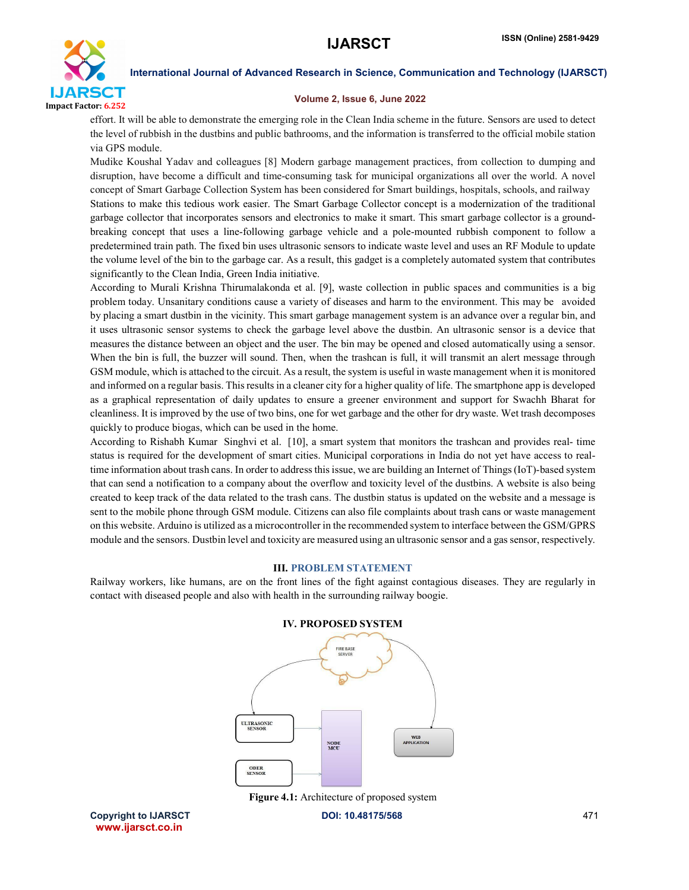

#### Volume 2, Issue 6, June 2022

effort. It will be able to demonstrate the emerging role in the Clean India scheme in the future. Sensors are used to detect the level of rubbish in the dustbins and public bathrooms, and the information is transferred to the official mobile station via GPS module.

Mudike Koushal Yadav and colleagues [8] Modern garbage management practices, from collection to dumping and disruption, have become a difficult and time-consuming task for municipal organizations all over the world. A novel concept of Smart Garbage Collection System has been considered for Smart buildings, hospitals, schools, and railway Stations to make this tedious work easier. The Smart Garbage Collector concept is a modernization of the traditional garbage collector that incorporates sensors and electronics to make it smart. This smart garbage collector is a groundbreaking concept that uses a line-following garbage vehicle and a pole-mounted rubbish component to follow a predetermined train path. The fixed bin uses ultrasonic sensors to indicate waste level and uses an RF Module to update the volume level of the bin to the garbage car. As a result, this gadget is a completely automated system that contributes significantly to the Clean India, Green India initiative.

According to Murali Krishna Thirumalakonda et al. [9], waste collection in public spaces and communities is a big problem today. Unsanitary conditions cause a variety of diseases and harm to the environment. This may be avoided by placing a smart dustbin in the vicinity. This smart garbage management system is an advance over a regular bin, and it uses ultrasonic sensor systems to check the garbage level above the dustbin. An ultrasonic sensor is a device that measures the distance between an object and the user. The bin may be opened and closed automatically using a sensor. When the bin is full, the buzzer will sound. Then, when the trashcan is full, it will transmit an alert message through GSM module, which is attached to the circuit. As a result, the system is useful in waste management when it is monitored and informed on a regular basis. Thisresults in a cleaner city for a higher quality of life. The smartphone app is developed as a graphical representation of daily updates to ensure a greener environment and support for Swachh Bharat for cleanliness. It is improved by the use of two bins, one for wet garbage and the other for dry waste. Wet trash decomposes quickly to produce biogas, which can be used in the home.

According to Rishabh Kumar Singhvi et al. [10], a smart system that monitors the trashcan and provides real- time status is required for the development of smart cities. Municipal corporations in India do not yet have access to realtime information about trash cans. In order to address this issue, we are building an Internet of Things (IoT)-based system that can send a notification to a company about the overflow and toxicity level of the dustbins. A website is also being created to keep track of the data related to the trash cans. The dustbin status is updated on the website and a message is sent to the mobile phone through GSM module. Citizens can also file complaints about trash cans or waste management on this website. Arduino is utilized as a microcontroller in the recommended system to interface between the GSM/GPRS module and the sensors. Dustbin level and toxicity are measured using an ultrasonic sensor and a gas sensor, respectively.

#### III. PROBLEM STATEMENT

Railway workers, like humans, are on the front lines of the fight against contagious diseases. They are regularly in contact with diseased people and also with health in the surrounding railway boogie.





Figure 4.1: Architecture of proposed system

Copyright to IJARSCT **DOI: 10.48175/568** 471 www.ijarsct.co.in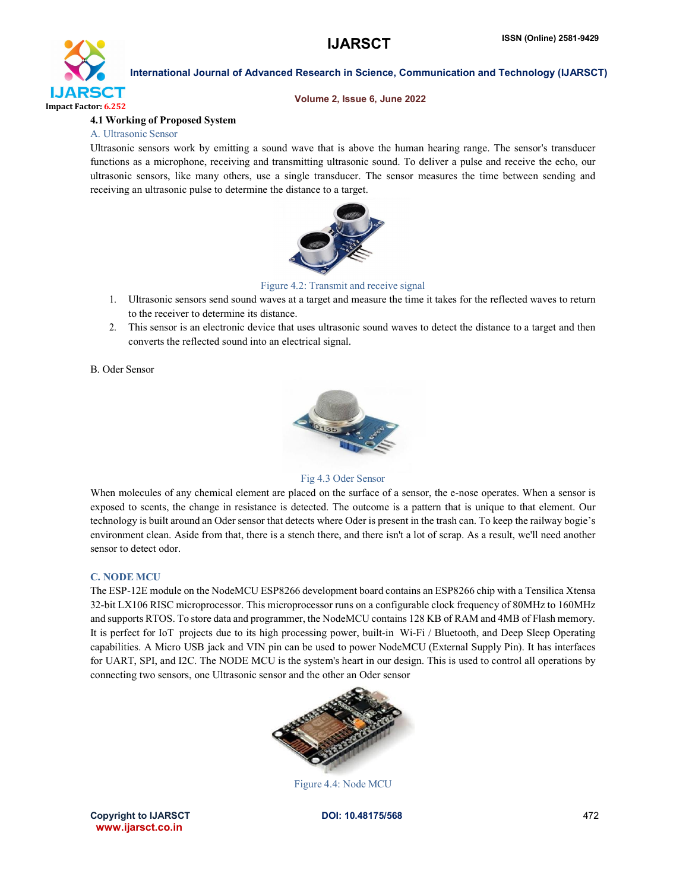

#### Volume 2, Issue 6, June 2022

#### 4.1 Working of Proposed System

#### A. Ultrasonic Sensor

Ultrasonic sensors work by emitting a sound wave that is above the human hearing range. The sensor's transducer functions as a microphone, receiving and transmitting ultrasonic sound. To deliver a pulse and receive the echo, our ultrasonic sensors, like many others, use a single transducer. The sensor measures the time between sending and receiving an ultrasonic pulse to determine the distance to a target.



#### Figure 4.2: Transmit and receive signal

- 1. Ultrasonic sensors send sound waves at a target and measure the time it takes for the reflected waves to return to the receiver to determine its distance.
- 2. This sensor is an electronic device that uses ultrasonic sound waves to detect the distance to a target and then converts the reflected sound into an electrical signal.

B. Oder Sensor



Fig 4.3 Oder Sensor

When molecules of any chemical element are placed on the surface of a sensor, the e-nose operates. When a sensor is exposed to scents, the change in resistance is detected. The outcome is a pattern that is unique to that element. Our technology is built around an Oder sensor that detects where Oder is present in the trash can. To keep the railway bogie's environment clean. Aside from that, there is a stench there, and there isn't a lot of scrap. As a result, we'll need another sensor to detect odor.

#### C. NODE MCU

The ESP-12E module on the NodeMCU ESP8266 development board contains an ESP8266 chip with a Tensilica Xtensa 32-bit LX106 RISC microprocessor. This microprocessor runs on a configurable clock frequency of 80MHz to 160MHz and supports RTOS. To store data and programmer, the NodeMCU contains 128 KB of RAM and 4MB of Flash memory. It is perfect for IoT projects due to its high processing power, built-in Wi-Fi / Bluetooth, and Deep Sleep Operating capabilities. A Micro USB jack and VIN pin can be used to power NodeMCU (External Supply Pin). It has interfaces for UART, SPI, and I2C. The NODE MCU is the system's heart in our design. This is used to control all operations by connecting two sensors, one Ultrasonic sensor and the other an Oder sensor



Figure 4.4: Node MCU

Copyright to IJARSCT **DOI: 10.48175/568** 472 www.ijarsct.co.in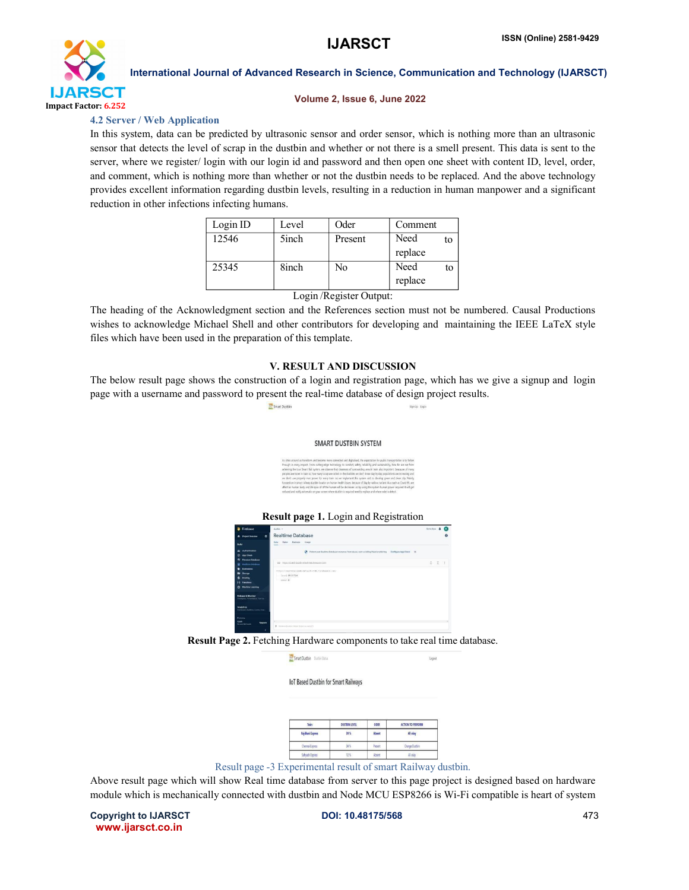

#### Volume 2, Issue 6, June 2022

### 4.2 Server / Web Application

In this system, data can be predicted by ultrasonic sensor and order sensor, which is nothing more than an ultrasonic sensor that detects the level of scrap in the dustbin and whether or not there is a smell present. This data is sent to the server, where we register/ login with our login id and password and then open one sheet with content ID, level, order, and comment, which is nothing more than whether or not the dustbin needs to be replaced. And the above technology provides excellent information regarding dustbin levels, resulting in a reduction in human manpower and a significant reduction in other infections infecting humans.

| Level | Oder    | Comment |    |
|-------|---------|---------|----|
| 5inch | Present | Need    | to |
|       |         | replace |    |
| 8inch | No      | Need    | to |
|       |         | replace |    |
|       |         |         |    |

#### Login /Register Output:

The heading of the Acknowledgment section and the References section must not be numbered. Causal Productions wishes to acknowledge Michael Shell and other contributors for developing and maintaining the IEEE LaTeX style files which have been used in the preparation of this template.

### V. RESULT AND DISCUSSION

The below result page shows the construction of a login and registration page, which has we give a signup and login page with a username and password to present the real-time database of design project results.

Smart Dustbin

#### SMART DUSTRIN SYSTEM



#### Result page 1. Login and Registration

| Firebase                                                                                                                                                                                                | duction w                                                                                                                                                                                                                                                        | Gibber & C |              |           |
|---------------------------------------------------------------------------------------------------------------------------------------------------------------------------------------------------------|------------------------------------------------------------------------------------------------------------------------------------------------------------------------------------------------------------------------------------------------------------------|------------|--------------|-----------|
| $\bullet$<br>Project Overview<br>٠                                                                                                                                                                      | <b>Realtime Database</b>                                                                                                                                                                                                                                         |            |              | $\bullet$ |
| <b>Build</b>                                                                                                                                                                                            | fairs Batkans Shane<br><b>Cona</b><br>--                                                                                                                                                                                                                         |            |              |           |
| 22 Authorization<br>App Check<br>ø<br><b>Firectory Eutabase</b><br>曲<br><b>Realtime Databone</b><br>٠<br>Esteranos<br>۰<br><b>Storage</b><br>Hosting<br>۰<br>Functions<br>н                             | C Protect your Realities Database resources from abuse, sock as billing fraud or philing Configure App Check X<br>00 https://birthin.2aids-default rids feetupers.com<br>https://durbin-Zeeds-default-rids.firebaude.com/<br>- Invel 29,51724<br>$-$ indices $0$ |            | $2 \times 1$ |           |
| <b>Machine Learning</b><br>۰<br><b>Release &amp; Monitor</b><br>Creatures Fortunnation Text La.<br>Analytics<br><b>Cashings Feature Event Con-</b><br><b>Receive</b><br><b>Sport</b><br><b>Lingrade</b> |                                                                                                                                                                                                                                                                  |            |              |           |
| <b>Bound Wooder</b><br>×                                                                                                                                                                                | 9. Increme Excess Instal Hytectar control)                                                                                                                                                                                                                       |            |              |           |

#### Result Page 2. Fetching Hardware components to take real time database.

#### IoT Based Dustbin for Smart Railways

| Train            | <b>DUSTBIN LEVEL</b><br>39% | ODER<br>Absent | <b>ACTION TO PERFORM</b><br>All okay |
|------------------|-----------------------------|----------------|--------------------------------------|
| Rajdhani Express |                             |                |                                      |
| Chennai Express  | 45                          | <b>Present</b> | Change Dustbin                       |
| Sahvadn Express  | 17%                         | Absent         | Allicka                              |

Result page -3 Experimental result of smart Railway dustbin.

Above result page which will show Real time database from server to this page project is designed based on hardware module which is mechanically connected with dustbin and Node MCU ESP8266 is Wi-Fi compatible is heart of system

Copyright to IJARSCT **DOI: 10.48175/568** 473 www.ijarsct.co.in